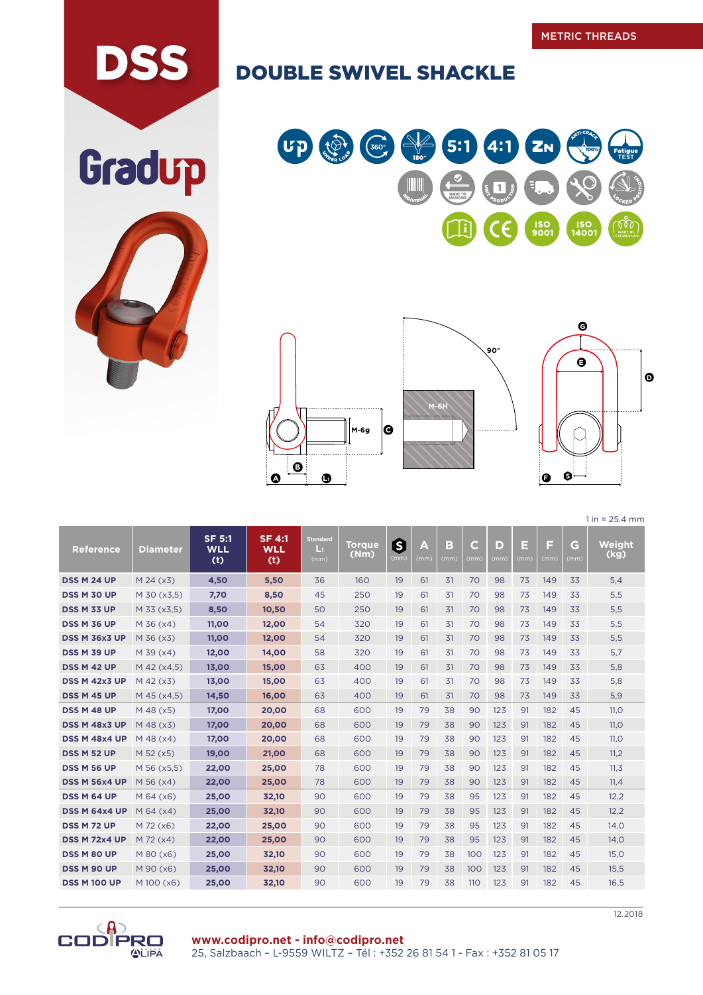## DSS DOUBLE SWIVEL SHACKLE









 $1 in = 25.4 mm$ 

| <b>Reference</b>     | <b>Diameter</b> | <b>SF 5:1</b><br><b>WLL</b><br>(t) | <b>SF 4:1</b><br><b>WLL</b><br>(t) | <b>Standard</b><br>Ŀп<br>(mm) | <b>Torque</b><br>(Nm) | 6<br>(mm) | A<br>(mm) | B<br>(mm) | $\mathsf{C}$<br>(mm) | D<br>(mm) | E<br>(mm) | F<br>(mm) | G<br>(mm) | Weight<br>(kg) |
|----------------------|-----------------|------------------------------------|------------------------------------|-------------------------------|-----------------------|-----------|-----------|-----------|----------------------|-----------|-----------|-----------|-----------|----------------|
| DSS M 24 UP          | $M$ 24 ( $x$ 3) | 4,50                               | 5,50                               | 36                            | 160                   | 19        | 61        | 31        | 70                   | 98        | 73        | 149       | 33        | 5,4            |
| <b>DSS M 30 UP</b>   | M 30 (x3,5)     | 7,70                               | 8,50                               | 45                            | 250                   | 19        | 61        | 31        | 70                   | 98        | 73        | 149       | 33        | 5,5            |
| <b>DSS M 33 UP</b>   | M 33 (x3,5)     | 8,50                               | 10,50                              | 50                            | 250                   | 19        | 61        | 31        | 70                   | 98        | 73        | 149       | 33        | 5,5            |
| <b>DSS M 36 UP</b>   | M 36 (x4)       | 11,00                              | 12,00                              | 54                            | 320                   | 19        | 61        | 31        | 70                   | 98        | 73        | 149       | 33        | 5,5            |
| <b>DSS M 36x3 UP</b> | M 36 (x3)       | 11,00                              | 12,00                              | 54                            | 320                   | 19        | 61        | 31        | 70                   | 98        | 73        | 149       | 33        | 5,5            |
| DSS M 39 UP          | $M$ 39 ( $x4$ ) | 12,00                              | 14,00                              | 58                            | 320                   | 19        | 61        | 31        | 70                   | 98        | 73        | 149       | 33        | 5,7            |
| DSS M 42 UP          | M 42 (x4,5)     | 13,00                              | 15,00                              | 63                            | 400                   | 19        | 61        | 31        | 70                   | 98        | 73        | 149       | 33        | 5,8            |
| <b>DSS M 42x3 UP</b> | $M$ 42 ( $x3$ ) | 13,00                              | 15,00                              | 63                            | 400                   | 19        | 61        | 31        | 70                   | 98        | 73        | 149       | 33        | 5,8            |
| DSS M 45 UP          | M 45 (x4,5)     | 14,50                              | 16,00                              | 63                            | 400                   | 19        | 61        | 31        | 70                   | 98        | 73        | 149       | 33        | 5,9            |
| DSS M 48 UP          | M 48 (x5)       | 17,00                              | 20,00                              | 68                            | 600                   | 19        | 79        | 38        | 90                   | 123       | 91        | 182       | 45        | 11.0           |
| <b>DSS M 48x3 UP</b> | M 48 (x3)       | 17,00                              | 20,00                              | 68                            | 600                   | 19        | 79        | 38        | 90                   | 123       | 91        | 182       | 45        | 11,0           |
| <b>DSS M 48x4 UP</b> | $M$ 48 (x4)     | 17,00                              | 20,00                              | 68                            | 600                   | 19        | 79        | 38        | 90                   | 123       | 91        | 182       | 45        | 11,0           |
| DSS M 52 UP          | M 52 (x5)       | 19,00                              | 21,00                              | 68                            | 600                   | 19        | 79        | 38        | 90                   | 123       | 91        | 182       | 45        | 11,2           |
| <b>DSS M 56 UP</b>   | M 56 (x5,5)     | 22,00                              | 25,00                              | 78                            | 600                   | 19        | 79        | 38        | 90                   | 123       | 91        | 182       | 45        | 11,3           |
| <b>DSS M 56x4 UP</b> | $M$ 56 ( $x4$ ) | 22,00                              | 25,00                              | 78                            | 600                   | 19        | 79        | 38        | 90                   | 123       | 91        | 182       | 45        | 11,4           |
| <b>DSS M 64 UP</b>   | $M$ 64 ( $x$ 6) | 25,00                              | 32,10                              | 90                            | 600                   | 19        | 79        | 38        | 95                   | 123       | 91        | 182       | 45        | 12,2           |
| DSS M 64x4 UP        | $M$ 64 ( $x$ 4) | 25,00                              | 32,10                              | 90                            | 600                   | 19        | 79        | 38        | 95                   | 123       | 91        | 182       | 45        | 12,2           |
| <b>DSS M72 UP</b>    | M 72 (x6)       | 22,00                              | 25,00                              | 90                            | 600                   | 19        | 79        | 38        | 95                   | 123       | 91        | 182       | 45        | 14,0           |
| <b>DSS M 72x4 UP</b> | $M$ 72 ( $x4$ ) | 22,00                              | 25,00                              | 90                            | 600                   | 19        | 79        | 38        | 95                   | 123       | 91        | 182       | 45        | 14,0           |
| <b>DSS M 80 UP</b>   | M 80 (x6)       | 25,00                              | 32,10                              | 90                            | 600                   | 19        | 79        | 38        | 100                  | 123       | 91        | 182       | 45        | 15,0           |
| DSS M 90 UP          | M 90 (x6)       | 25,00                              | 32,10                              | 90                            | 600                   | 19        | 79        | 38        | 100                  | 123       | 91        | 182       | 45        | 15,5           |
| <b>DSS M 100 UP</b>  | M 100 (x6)      | 25,00                              | 32,10                              | 90                            | 600                   | 19        | 79        | 38        | 110                  | 123       | 91        | 182       | 45        | 16,5           |



Gradup